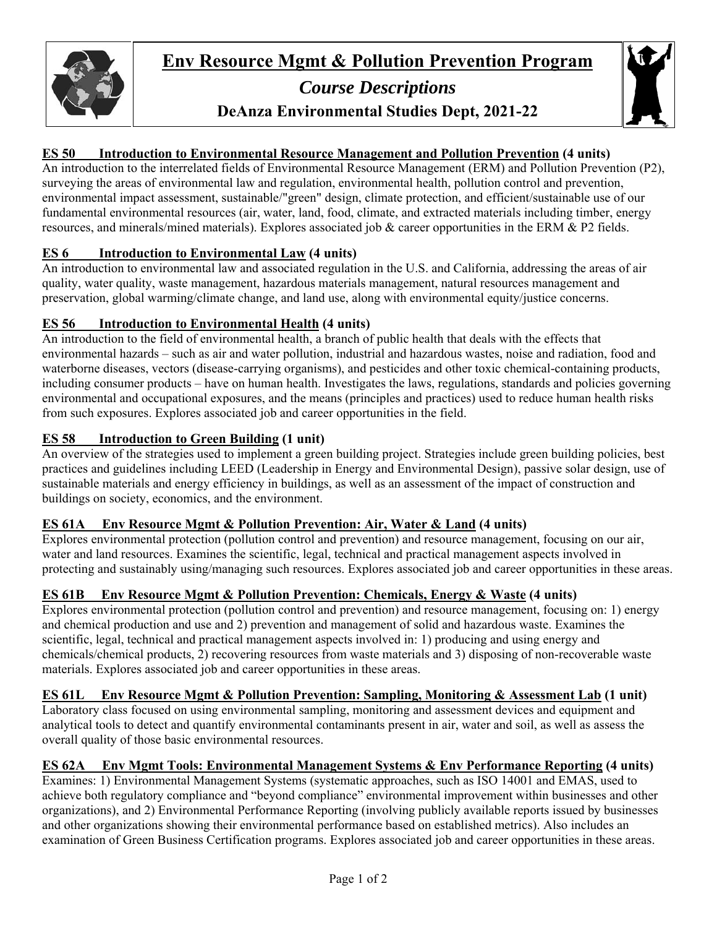

# *Course Descriptions*  **DeAnza Environmental Studies Dept, 2021-22**



# **ES 50 Introduction to Environmental Resource Management and Pollution Prevention (4 units)**

An introduction to the interrelated fields of Environmental Resource Management (ERM) and Pollution Prevention (P2), surveying the areas of environmental law and regulation, environmental health, pollution control and prevention, environmental impact assessment, sustainable/"green" design, climate protection, and efficient/sustainable use of our fundamental environmental resources (air, water, land, food, climate, and extracted materials including timber, energy resources, and minerals/mined materials). Explores associated job & career opportunities in the ERM & P2 fields.

#### **ES 6 Introduction to Environmental Law (4 units)**

An introduction to environmental law and associated regulation in the U.S. and California, addressing the areas of air quality, water quality, waste management, hazardous materials management, natural resources management and preservation, global warming/climate change, and land use, along with environmental equity/justice concerns.

#### **ES 56 Introduction to Environmental Health (4 units)**

An introduction to the field of environmental health, a branch of public health that deals with the effects that environmental hazards – such as air and water pollution, industrial and hazardous wastes, noise and radiation, food and waterborne diseases, vectors (disease-carrying organisms), and pesticides and other toxic chemical-containing products, including consumer products – have on human health. Investigates the laws, regulations, standards and policies governing environmental and occupational exposures, and the means (principles and practices) used to reduce human health risks from such exposures. Explores associated job and career opportunities in the field.

# **ES 58 Introduction to Green Building (1 unit)**

An overview of the strategies used to implement a green building project. Strategies include green building policies, best practices and guidelines including LEED (Leadership in Energy and Environmental Design), passive solar design, use of sustainable materials and energy efficiency in buildings, as well as an assessment of the impact of construction and buildings on society, economics, and the environment.

# **ES 61A Env Resource Mgmt & Pollution Prevention: Air, Water & Land (4 units)**

Explores environmental protection (pollution control and prevention) and resource management, focusing on our air, water and land resources. Examines the scientific, legal, technical and practical management aspects involved in protecting and sustainably using/managing such resources. Explores associated job and career opportunities in these areas.

# **ES 61B Env Resource Mgmt & Pollution Prevention: Chemicals, Energy & Waste (4 units)**

Explores environmental protection (pollution control and prevention) and resource management, focusing on: 1) energy and chemical production and use and 2) prevention and management of solid and hazardous waste. Examines the scientific, legal, technical and practical management aspects involved in: 1) producing and using energy and chemicals/chemical products, 2) recovering resources from waste materials and 3) disposing of non-recoverable waste materials. Explores associated job and career opportunities in these areas.

# **ES 61L Env Resource Mgmt & Pollution Prevention: Sampling, Monitoring & Assessment Lab (1 unit)**

Laboratory class focused on using environmental sampling, monitoring and assessment devices and equipment and analytical tools to detect and quantify environmental contaminants present in air, water and soil, as well as assess the overall quality of those basic environmental resources.

# **ES 62A Env Mgmt Tools: Environmental Management Systems & Env Performance Reporting (4 units)**

Examines: 1) Environmental Management Systems (systematic approaches, such as ISO 14001 and EMAS, used to achieve both regulatory compliance and "beyond compliance" environmental improvement within businesses and other organizations), and 2) Environmental Performance Reporting (involving publicly available reports issued by businesses and other organizations showing their environmental performance based on established metrics). Also includes an examination of Green Business Certification programs. Explores associated job and career opportunities in these areas.